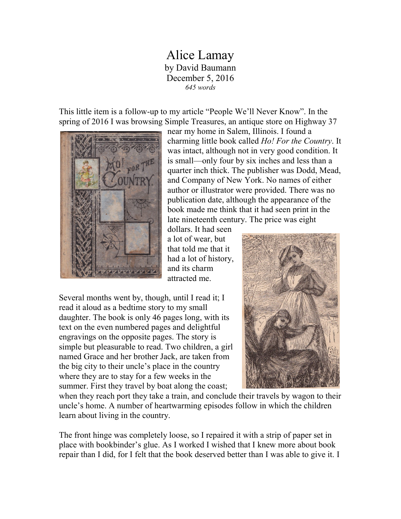## Alice Lamay by David Baumann December 5, 2016 *645 words*

This little item is a follow-up to my article "People We'll Never Know". In the spring of 2016 I was browsing Simple Treasures, an antique store on Highway 37



near my home in Salem, Illinois. I found a charming little book called *Ho! For the Country*. It was intact, although not in very good condition. It is small—only four by six inches and less than a quarter inch thick. The publisher was Dodd, Mead, and Company of New York. No names of either author or illustrator were provided. There was no publication date, although the appearance of the book made me think that it had seen print in the late nineteenth century. The price was eight

dollars. It had seen a lot of wear, but that told me that it had a lot of history, and its charm attracted me.

Several months went by, though, until I read it; I read it aloud as a bedtime story to my small daughter. The book is only 46 pages long, with its text on the even numbered pages and delightful engravings on the opposite pages. The story is simple but pleasurable to read. Two children, a girl named Grace and her brother Jack, are taken from the big city to their uncle's place in the country where they are to stay for a few weeks in the summer. First they travel by boat along the coast;



when they reach port they take a train, and conclude their travels by wagon to their uncle's home. A number of heartwarming episodes follow in which the children learn about living in the country.

The front hinge was completely loose, so I repaired it with a strip of paper set in place with bookbinder's glue. As I worked I wished that I knew more about book repair than I did, for I felt that the book deserved better than I was able to give it. I